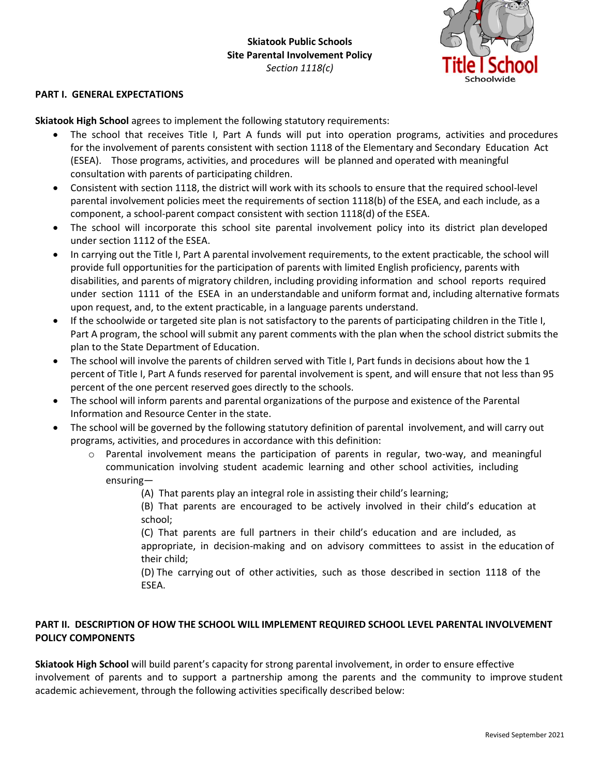

## **PART I. GENERAL EXPECTATIONS**

**Skiatook High School** agrees to implement the following statutory requirements:

- The school that receives Title I, Part A funds will put into operation programs, activities and procedures for the involvement of parents consistent with section 1118 of the Elementary and Secondary Education Act (ESEA). Those programs, activities, and procedures will be planned and operated with meaningful consultation with parents of participating children.
- Consistent with section 1118, the district will work with its schools to ensure that the required school-level parental involvement policies meet the requirements of section 1118(b) of the ESEA, and each include, as a component, a school-parent compact consistent with section 1118(d) of the ESEA.
- The school will incorporate this school site parental involvement policy into its district plan developed under section 1112 of the ESEA.
- In carrying out the Title I, Part A parental involvement requirements, to the extent practicable, the school will provide full opportunities for the participation of parents with limited English proficiency, parents with disabilities, and parents of migratory children, including providing information and school reports required under section 1111 of the ESEA in an understandable and uniform format and, including alternative formats upon request, and, to the extent practicable, in a language parents understand.
- If the schoolwide or targeted site plan is not satisfactory to the parents of participating children in the Title I, Part A program, the school will submit any parent comments with the plan when the school district submits the plan to the State Department of Education.
- The school will involve the parents of children served with Title I, Part funds in decisions about how the 1 percent of Title I, Part A funds reserved for parental involvement is spent, and will ensure that not less than 95 percent of the one percent reserved goes directly to the schools.
- The school will inform parents and parental organizations of the purpose and existence of the Parental Information and Resource Center in the state.
- The school will be governed by the following statutory definition of parental involvement, and will carry out programs, activities, and procedures in accordance with this definition:
	- $\circ$  Parental involvement means the participation of parents in regular, two-way, and meaningful communication involving student academic learning and other school activities, including ensuring—
		- (A) That parents play an integral role in assisting their child's learning;
		- (B) That parents are encouraged to be actively involved in their child's education at school;

(C) That parents are full partners in their child's education and are included, as appropriate, in decision-making and on advisory committees to assist in the education of their child;

(D) The carrying out of other activities, such as those described in section 1118 of the ESEA.

## **PART II. DESCRIPTION OF HOW THE SCHOOL WILL IMPLEMENT REQUIRED SCHOOL LEVEL PARENTAL INVOLVEMENT POLICY COMPONENTS**

**Skiatook High School** will build parent's capacity for strong parental involvement, in order to ensure effective involvement of parents and to support a partnership among the parents and the community to improve student academic achievement, through the following activities specifically described below: